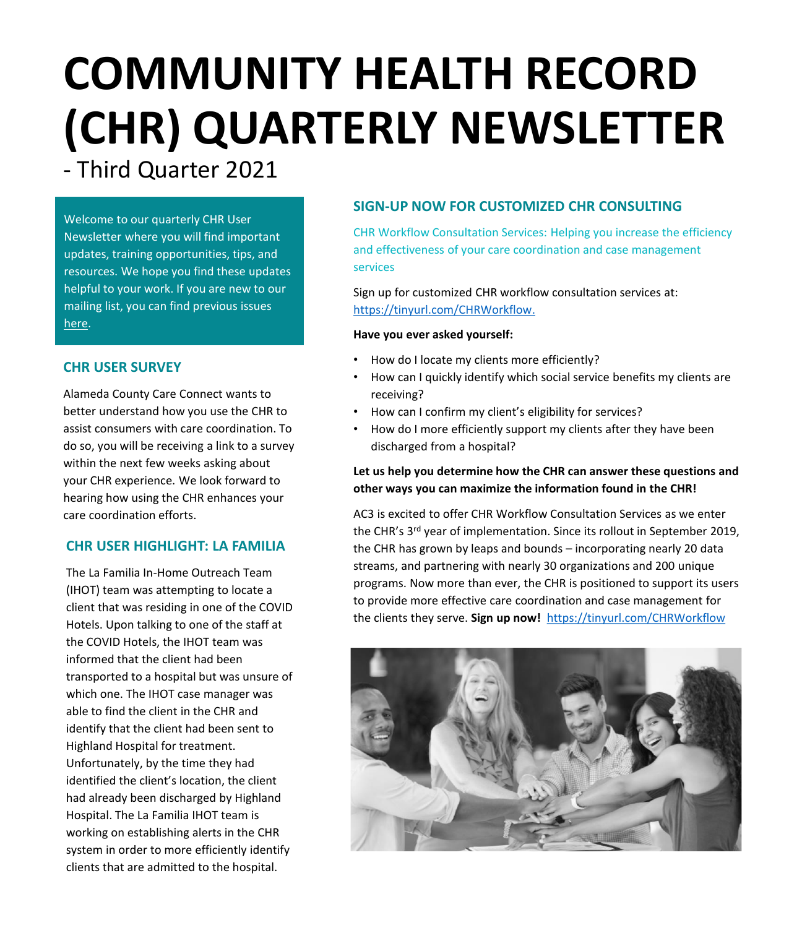# **COMMUNITY HEALTH RECORD (CHR) QUARTERLY NEWSLETTER**

- Third Quarter 2021

Welcome to our quarterly CHR User Newsletter where you will find important updates, training opportunities, tips, and resources. We hope you find these updates helpful to your work. If you are new to our mailing list, you can find previous issues [here](https://careconnect.elemenohealth.com/#/resource/QR2fa4749dfbec3a1f0890?source=link&scrollTo=chr-user-newsletters).

## **CHR USER SURVEY**

Alameda County Care Connect wants to better understand how you use the CHR to assist consumers with care coordination. To do so, you will be receiving a link to a survey within the next few weeks asking about your CHR experience. We look forward to hearing how using the CHR enhances your care coordination efforts.

## **CHR USER HIGHLIGHT: LA FAMILIA**

The La Familia In-Home Outreach Team (IHOT) team was attempting to locate a client that was residing in one of the COVID Hotels. Upon talking to one of the staff at the COVID Hotels, the IHOT team was informed that the client had been transported to a hospital but was unsure of which one. The IHOT case manager was able to find the client in the CHR and identify that the client had been sent to Highland Hospital for treatment. Unfortunately, by the time they had identified the client's location, the client had already been discharged by Highland Hospital. The La Familia IHOT team is working on establishing alerts in the CHR system in order to more efficiently identify clients that are admitted to the hospital.

# **SIGN-UP NOW FOR CUSTOMIZED CHR CONSULTING**

CHR Workflow Consultation Services: Helping you increase the efficiency and effectiveness of your care coordination and case management services

Sign up for customized CHR workflow consultation services at: [https://tinyurl.com/CHRWorkflow.](https://tinyurl.com/CHRWorkflow)

## **Have you ever asked yourself:**

- How do I locate my clients more efficiently?
- How can I quickly identify which social service benefits my clients are receiving?
- How can I confirm my client's eligibility for services?
- How do I more efficiently support my clients after they have been discharged from a hospital?

## **Let us help you determine how the CHR can answer these questions and other ways you can maximize the information found in the CHR!**

AC3 is excited to offer CHR Workflow Consultation Services as we enter the CHR's 3rd year of implementation. Since its rollout in September 2019, the CHR has grown by leaps and bounds – incorporating nearly 20 data streams, and partnering with nearly 30 organizations and 200 unique programs. Now more than ever, the CHR is positioned to support its users to provide more effective care coordination and case management for the clients they serve. **Sign up now!** [https://tinyurl.com/CHRWorkflow](https://nam02.safelinks.protection.outlook.com/?url=https%3A%2F%2Ftinyurl.com%2FCHRWorkflow&data=04%7C01%7Ckatsmith%40pcgus.com%7Cc89887757e54447979cd08d97fa95bfd%7Cd9b110c34c254379b97ae248938cc17b%7C0%7C0%7C637681187675121751%7CUnknown%7CTWFpbGZsb3d8eyJWIjoiMC4wLjAwMDAiLCJQIjoiV2luMzIiLCJBTiI6Ik1haWwiLCJXVCI6Mn0%3D%7C1000&sdata=knppKKsLxFUYj8dWLncL5bD%2F%2BaR9bkSwUCeJcxqoplc%3D&reserved=0)

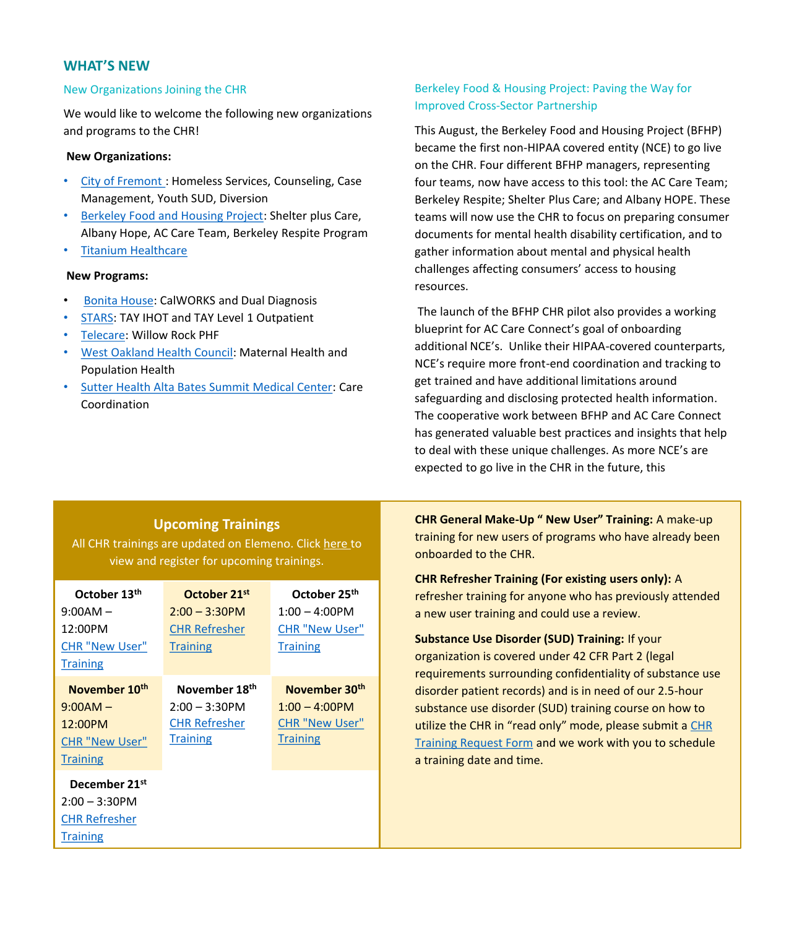## **WHAT'S NEW**

#### New Organizations Joining the CHR

We would like to welcome the following new organizations and programs to the CHR!

#### **New Organizations:**

- [City of Fremont](https://www.fremont.gov/) : Homeless Services, Counseling, Case Management, Youth SUD, Diversion
- [Berkeley Food and Housing Project](https://bfhp.org/): Shelter plus Care, Albany Hope, AC Care Team, Berkeley Respite Program
- [Titanium Healthcare](https://tihealthcare.com/)

#### **New Programs:**

- [Bonita House](https://bonitahouse.org/): CalWORKS and Dual Diagnosis
- [STARS:](https://www.starsinc.com/alameda-county/) TAY IHOT and TAY Level 1 Outpatient
- [Telecare](https://www.telecarecorp.com/): Willow Rock PHF
- [West Oakland Health Council:](https://westoaklandhealth.org/) Maternal Health and Population Health
- [Sutter Health Alta Bates Summit Medical Center:](https://www.sutterhealth.org/absmc) Care Coordination

## Berkeley Food & Housing Project: Paving the Way for Improved Cross-Sector Partnership

This August, the Berkeley Food and Housing Project (BFHP) became the first non-HIPAA covered entity (NCE) to go live on the CHR. Four different BFHP managers, representing four teams, now have access to this tool: the AC Care Team; Berkeley Respite; Shelter Plus Care; and Albany HOPE. These teams will now use the CHR to focus on preparing consumer documents for mental health disability certification, and to gather information about mental and physical health challenges affecting consumers' access to housing resources.

The launch of the BFHP CHR pilot also provides a working blueprint for AC Care Connect's goal of onboarding additional NCE's. Unlike their HIPAA-covered counterparts, NCE's require more front-end coordination and tracking to get trained and have additional limitations around safeguarding and disclosing protected health information. The cooperative work between BFHP and AC Care Connect has generated valuable best practices and insights that help to deal with these unique challenges. As more NCE's are expected to go live in the CHR in the future, this

## **Upcoming Trainings**

All CHR trainings are updated on Elemeno. Click [here](https://careconnect.ucsf.edu/ACCC/index.html) to view and register for upcoming trainings.

| October 13th              | October 21st              | October 25 <sup>th</sup>  |
|---------------------------|---------------------------|---------------------------|
| $9:00AM -$                | $2:00 - 3:30$ PM          | 1:00 – 4:00PM             |
| 12:00PM                   | <b>CHR Refresher</b>      | <b>CHR "New User"</b>     |
| <b>CHR "New User"</b>     | <b>Training</b>           | <b>Training</b>           |
| <b>Training</b>           |                           |                           |
| November 10 <sup>th</sup> | November 18 <sup>th</sup> | November 30 <sup>th</sup> |
| $9:00AM -$                | $2:00 - 3:30$ PM          | $1:00 - 4:00$ PM          |
| 12:00PM                   | <b>CHR Refresher</b>      | <b>CHR "New User"</b>     |
| <b>CHR "New User"</b>     | <b>Training</b>           | <b>Training</b>           |
| <b>Training</b>           |                           |                           |
| December 21st             |                           |                           |
| $2:00 - 3:30$ PM          |                           |                           |
| <b>CHR Refresher</b>      |                           |                           |
| <b>Training</b>           |                           |                           |

**CHR General Make-Up " New User" Training:** A make-up training for new users of programs who have already been onboarded to the CHR.

**CHR Refresher Training (For existing users only):** A refresher training for anyone who has previously attended a new user training and could use a review.

**Substance Use Disorder (SUD) Training:** If your organization is covered under 42 CFR Part 2 (legal requirements surrounding confidentiality of substance use disorder patient records) and is in need of our 2.5-hour substance use disorder (SUD) training course on how to [utilize the CHR in "read only" mode, please submit a](https://app.smartsheet.com/b/form/dd6d97d97097489a91249b9284601400) CHR Training Request Form and we work with you to schedule a training date and time.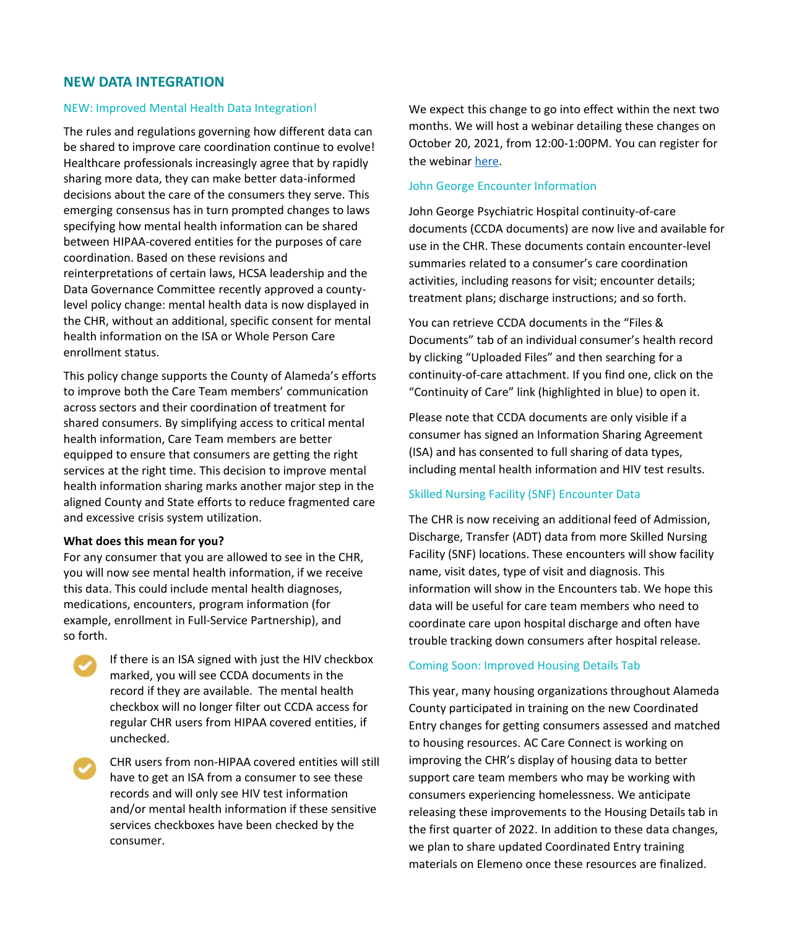## **NEW DATA INTEGRATION**

#### NEW: Improved Mental Health Data Integration!

The rules and regulations governing how different data can be shared to improve care coordination continue to evolve! Healthcare professionals increasingly agree that by rapidly sharing more data, they can make better data-informed decisions about the care of the consumers they serve. This emerging consensus has in turn prompted changes to laws specifying how mental health information can be shared between HIPAA-covered entities for the purposes of care coordination. Based on these revisions and reinterpretations of certain laws, HCSA leadership and the Data Governance Committee recently approved a countylevel policy change: mental health data is now displayed in the CHR, without an additional, specific consent for mental health information on the ISA or Whole Person Care enrollment status.

This policy change supports the County of Alameda's efforts to improve both the Care Team members' communication across sectors and their coordination of treatment for shared consumers. By simplifying access to critical mental health information, Care Team members are better equipped to ensure that consumers are getting the right services at the right time. This decision to improve mental health information sharing marks another major step in the aligned County and State efforts to reduce fragmented care and excessive crisis system utilization.

#### **What does this mean for you?**

For any consumer that you are allowed to see in the CHR, you will now see mental health information, if we receive this data. This could include mental health diagnoses, medications, encounters, program information (for example, enrollment in Full-Service Partnership), and so forth.



If there is an ISA signed with just the HIV checkbox marked, you will see CCDA documents in the record if they are available. The mental health checkbox will no longer filter out CCDA access for regular CHR users from HIPAA covered entities, if unchecked.

CHR users from non-HIPAA covered entities will still have to get an ISA from a consumer to see these records and will only see HIV test information and/or mental health information if these sensitive services checkboxes have been checked by the consumer.

We expect this change to go into effect within the next two months. We will host a webinar detailing these changes on October 20, 2021, from 12:00-1:00PM. You can register for the webinar [here.](https://attendee.gototraining.com/r/3932050811406183426)

#### John George Encounter Information

John George Psychiatric Hospital continuity-of-care documents (CCDA documents) are now live and available for use in the CHR. These documents contain encounter-level summaries related to a consumer's care coordination activities, including reasons for visit; encounter details; treatment plans; discharge instructions; and so forth.

You can retrieve CCDA documents in the "Files & Documents" tab of an individual consumer's health record by clicking "Uploaded Files" and then searching for a continuity-of-care attachment. If you find one, click on the "Continuity of Care" link (highlighted in blue) to open it.

Please note that CCDA documents are only visible if a consumer has signed an Information Sharing Agreement (ISA) and has consented to full sharing of data types, including mental health information and HIV test results.

#### Skilled Nursing Facility (SNF) Encounter Data

The CHR is now receiving an additional feed of Admission, Discharge, Transfer (ADT) data from more Skilled Nursing Facility (SNF) locations. These encounters will show facility name, visit dates, type of visit and diagnosis. This information will show in the Encounters tab. We hope this data will be useful for care team members who need to coordinate care upon hospital discharge and often have trouble tracking down consumers after hospital release.

#### Coming Soon: Improved Housing Details Tab

This year, many housing organizations throughout Alameda County participated in training on the new Coordinated Entry changes for getting consumers assessed and matched to housing resources. AC Care Connect is working on improving the CHR's display of housing data to better support care team members who may be working with consumers experiencing homelessness. We anticipate releasing these improvements to the Housing Details tab in the first quarter of 2022. In addition to these data changes, we plan to share updated Coordinated Entry training materials on Elemeno once these resources are finalized.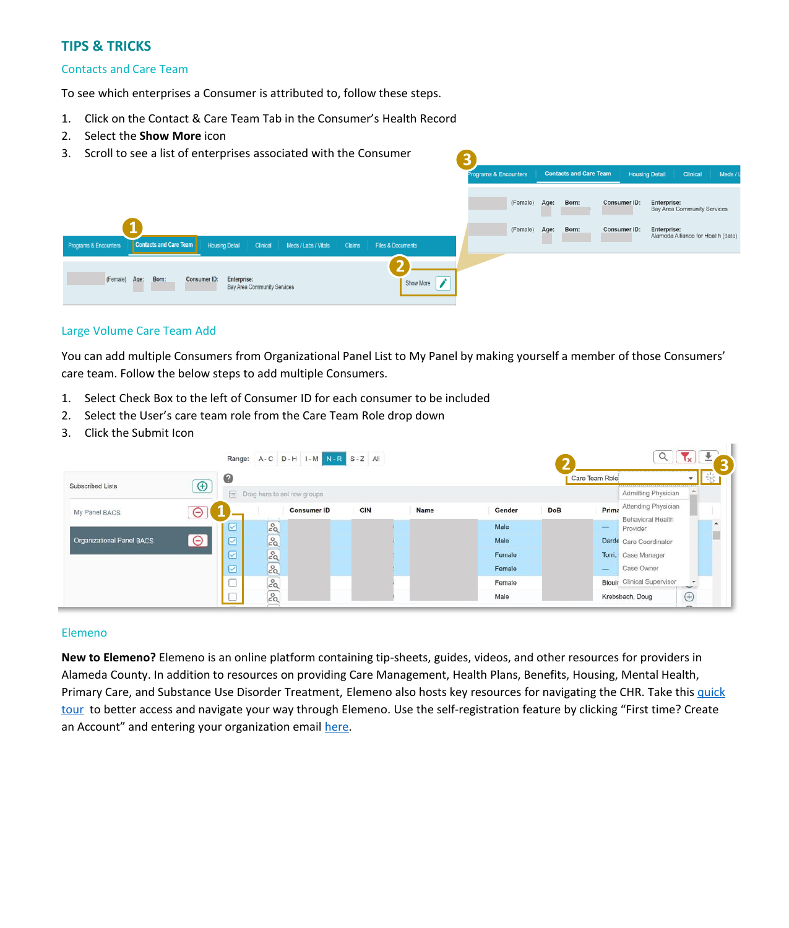## **TIPS & TRICKS**

#### Contacts and Care Team

To see which enterprises a Consumer is attributed to, follow these steps.

- 1. Click on the Contact & Care Team Tab in the Consumer's Health Record
- 2. Select the **Show More** icon
- 3. Scroll to see a list of enterprises associated with the Consumer



#### Large Volume Care Team Add

You can add multiple Consumers from Organizational Panel List to My Panel by making yourself a member of those Consumers' care team. Follow the below steps to add multiple Consumers.

- 1. Select Check Box to the left of Consumer ID for each consumer to be included
- 2. Select the User's care team role from the Care Team Role drop down
- 3. Click the Submit Icon

|                                  |             |   | Range: A - C D - H I - M N - R S - Z All |                    |     |      |        |            |                |                                   |                  |  |  |
|----------------------------------|-------------|---|------------------------------------------|--------------------|-----|------|--------|------------|----------------|-----------------------------------|------------------|--|--|
| Subscribed Lists                 | $\bigoplus$ | 0 |                                          |                    |     |      |        |            | Care Team Role |                                   |                  |  |  |
|                                  |             |   | n Drag here to set row groups            |                    |     |      |        |            |                | Admitting Physician               |                  |  |  |
| My Panel BACS                    | ⊖           |   |                                          | <b>Consumer ID</b> | CIN | Name | Gender | <b>DoB</b> | Prima          | Attending Physician               |                  |  |  |
|                                  |             | ⊵ | 29                                       |                    |     |      | Male   |            | <b>Service</b> | Behavioral Health<br>Provider     | $\blacktriangle$ |  |  |
| <b>Organizational Panel BACS</b> | $\Theta$    |   | 29                                       |                    |     |      | Male   |            | Darde          | Care Coordinator                  | г                |  |  |
|                                  |             | ☑ | $2^{\circ}$                              |                    |     |      | Female |            | Torri,         | Case Manager                      |                  |  |  |
|                                  |             |   | 29                                       |                    |     |      | Female |            | $\sim$         | Case Owner                        |                  |  |  |
|                                  |             |   | 20                                       |                    |     |      | Female |            |                | <b>Blouir</b> Clinical Supervisor |                  |  |  |
|                                  |             |   | 20                                       |                    |     |      | Male   |            |                | Krebsbach, Doug                   | $\bigoplus$      |  |  |

#### Elemeno

**New to Elemeno?** Elemeno is an online platform containing tip-sheets, guides, videos, and other resources for providers in Alameda County. In addition to resources on providing Care Management, Health Plans, Benefits, Housing, Mental Health, Primary Care, and Substance Use Disorder Treatment, Elemeno also hosts key resources for navigating the CHR. Take this quick tour [to better access and navigate your way through Elemeno. Use the self-](https://careconnect.elemenohealth.com/#/resource/QR3962170dad740c260516?source=resources)registration feature by clicking "First time? Create an Account" and entering your organization email [here.](https://careconnect.elemenohealth.com/#/login)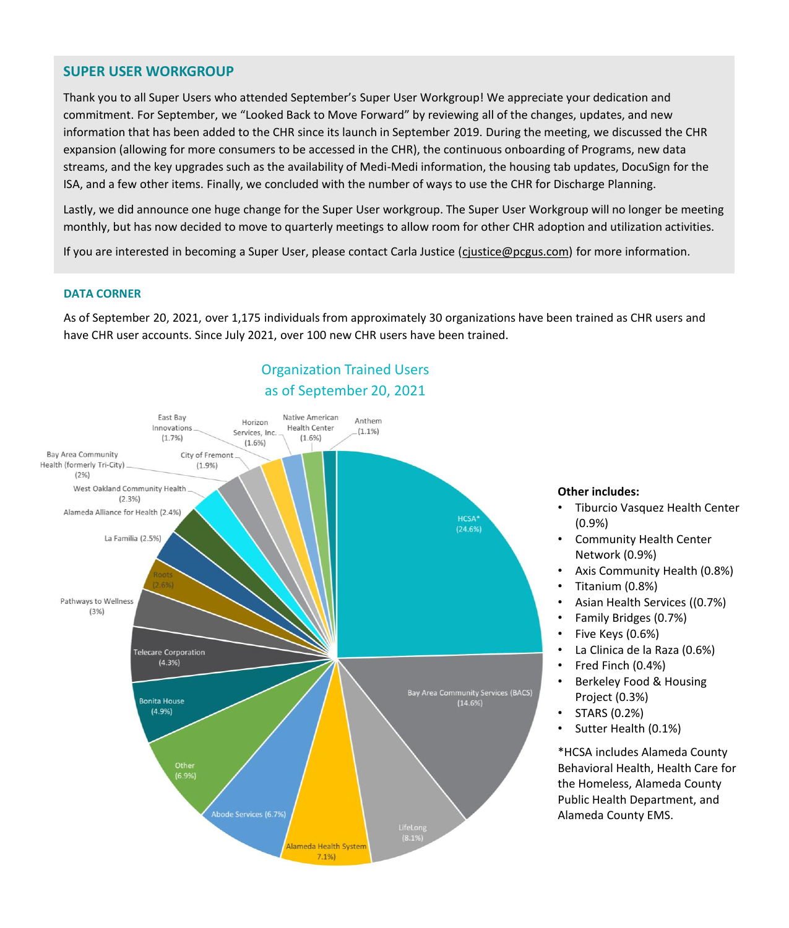## **SUPER USER WORKGROUP**

Thank you to all Super Users who attended September's Super User Workgroup! We appreciate your dedication and commitment. For September, we "Looked Back to Move Forward" by reviewing all of the changes, updates, and new information that has been added to the CHR since its launch in September 2019. During the meeting, we discussed the CHR expansion (allowing for more consumers to be accessed in the CHR), the continuous onboarding of Programs, new data streams, and the key upgrades such as the availability of Medi-Medi information, the housing tab updates, DocuSign for the ISA, and a few other items. Finally, we concluded with the number of ways to use the CHR for Discharge Planning.

Lastly, we did announce one huge change for the Super User workgroup. The Super User Workgroup will no longer be meeting monthly, but has now decided to move to quarterly meetings to allow room for other CHR adoption and utilization activities.

If you are interested in becoming a Super User, please contact Carla Justice ([cjustice@pcgus.com](mailto:cjustice@pcgus.com)) for more information.

#### **DATA CORNER**

As of September 20, 2021, over 1,175 individuals from approximately 30 organizations have been trained as CHR users and have CHR user accounts. Since July 2021, over 100 new CHR users have been trained.

# Organization Trained Users as of September 20, 2021



#### **Other includes:**

- Tiburcio Vasquez Health Center (0.9%)
- Community Health Center Network (0.9%)
- Axis Community Health (0.8%)
- Titanium (0.8%)
- Asian Health Services ((0.7%)
- Family Bridges (0.7%)
- Five Keys (0.6%)
- La Clinica de la Raza (0.6%)
- Fred Finch (0.4%)
- Berkeley Food & Housing Project (0.3%)
- STARS (0.2%)
- Sutter Health (0.1%)

\*HCSA includes Alameda County Behavioral Health, Health Care for the Homeless, Alameda County Public Health Department, and Alameda County EMS.